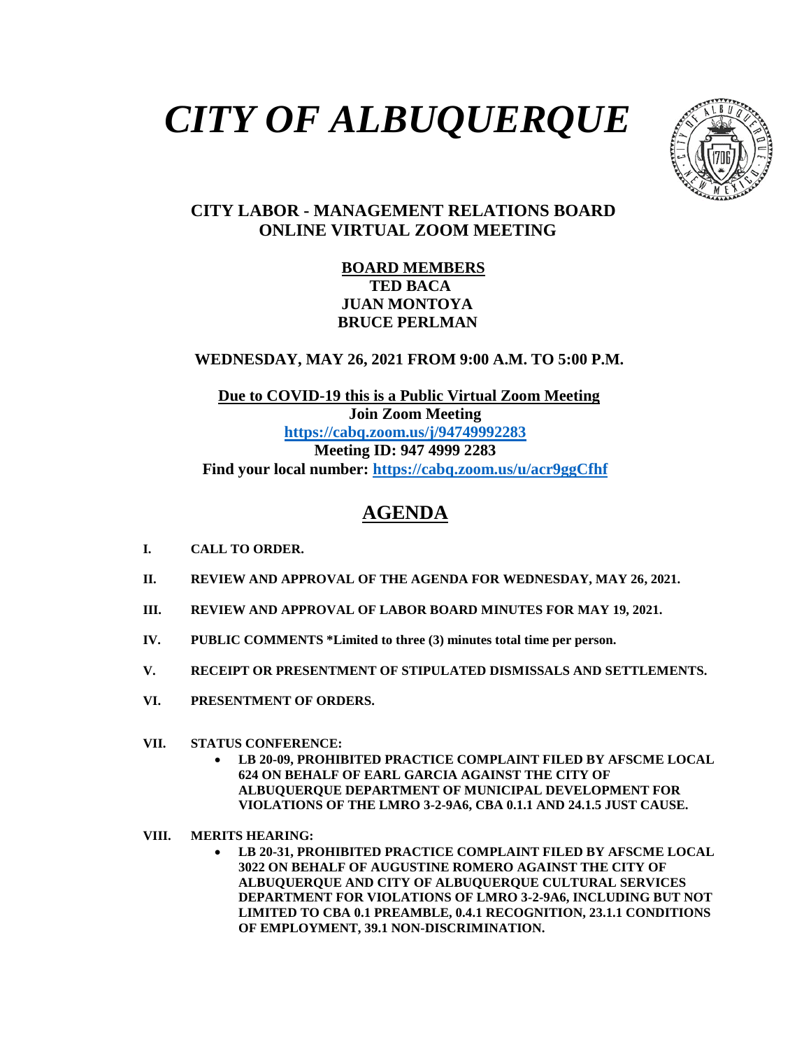# *CITY OF ALBUQUERQUE*



### **CITY LABOR - MANAGEMENT RELATIONS BOARD ONLINE VIRTUAL ZOOM MEETING**

#### **BOARD MEMBERS TED BACA JUAN MONTOYA BRUCE PERLMAN**

 **WEDNESDAY, MAY 26, 2021 FROM 9:00 A.M. TO 5:00 P.M.**

 **Due to COVID-19 this is a Public Virtual Zoom Meeting Join Zoom Meeting <https://cabq.zoom.us/j/94749992283> Meeting ID: 947 4999 2283 Find your local number:<https://cabq.zoom.us/u/acr9ggCfhf>**

## **AGENDA**

- **I. CALL TO ORDER.**
- **II. REVIEW AND APPROVAL OF THE AGENDA FOR WEDNESDAY, MAY 26, 2021.**
- **III. REVIEW AND APPROVAL OF LABOR BOARD MINUTES FOR MAY 19, 2021.**
- **IV. PUBLIC COMMENTS \*Limited to three (3) minutes total time per person.**
- **V. RECEIPT OR PRESENTMENT OF STIPULATED DISMISSALS AND SETTLEMENTS.**
- **VI. PRESENTMENT OF ORDERS.**
- **VII. STATUS CONFERENCE:**
	- **LB 20-09, PROHIBITED PRACTICE COMPLAINT FILED BY AFSCME LOCAL 624 ON BEHALF OF EARL GARCIA AGAINST THE CITY OF ALBUQUERQUE DEPARTMENT OF MUNICIPAL DEVELOPMENT FOR VIOLATIONS OF THE LMRO 3-2-9A6, CBA 0.1.1 AND 24.1.5 JUST CAUSE.**
- **VIII. MERITS HEARING:**
	- **LB 20-31, PROHIBITED PRACTICE COMPLAINT FILED BY AFSCME LOCAL 3022 ON BEHALF OF AUGUSTINE ROMERO AGAINST THE CITY OF ALBUQUERQUE AND CITY OF ALBUQUERQUE CULTURAL SERVICES DEPARTMENT FOR VIOLATIONS OF LMRO 3-2-9A6, INCLUDING BUT NOT LIMITED TO CBA 0.1 PREAMBLE, 0.4.1 RECOGNITION, 23.1.1 CONDITIONS OF EMPLOYMENT, 39.1 NON-DISCRIMINATION.**